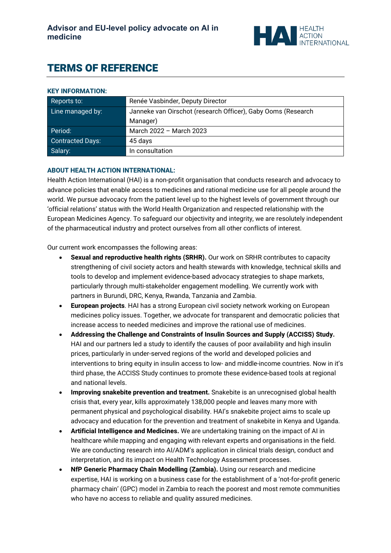

# TERMS OF REFERENCE

**KEY INFORMATION:** 

| <b>NET INFURNIATION.</b> |                                                              |
|--------------------------|--------------------------------------------------------------|
| Reports to:              | Renée Vasbinder, Deputy Director                             |
| Line managed by:         | Janneke van Oirschot (research Officer), Gaby Ooms (Research |
|                          | Manager)                                                     |
| Period:                  | March 2022 - March 2023                                      |
| Contracted Days:         | 45 days                                                      |
| Salary:                  | In consultation                                              |

## **ABOUT HEALTH ACTION INTERNATIONAL:**

Health Action International (HAI) is a non-profit organisation that conducts research and advocacy to advance policies that enable access to medicines and rational medicine use for all people around the world. We pursue advocacy from the patient level up to the highest levels of government through our 'official relations' status with the World Health Organization and respected relationship with the European Medicines Agency. To safeguard our objectivity and integrity, we are resolutely independent of the pharmaceutical industry and protect ourselves from all other conflicts of interest.

Our current work encompasses the following areas:

- **Sexual and reproductive health rights (SRHR).** Our work on SRHR contributes to capacity strengthening of civil society actors and health stewards with knowledge, technical skills and tools to develop and implement evidence-based advocacy strategies to shape markets, particularly through multi-stakeholder engagement modelling. We currently work with partners in Burundi, DRC, Kenya, Rwanda, Tanzania and Zambia.
- **European projects**. HAI has a strong European civil society network working on European medicines policy issues. Together, we advocate for transparent and democratic policies that increase access to needed medicines and improve the rational use of medicines.
- **Addressing the Challenge and Constraints of Insulin Sources and Supply (ACCISS) Study.** HAI and our partners led a study to identify the causes of poor availability and high insulin prices, particularly in under-served regions of the world and developed policies and interventions to bring equity in insulin access to low- and middle-income countries. Now in it's third phase, the ACCISS Study continues to promote these evidence-based tools at regional and national levels.
- **Improving snakebite prevention and treatment.** Snakebite is an unrecognised global health crisis that, every year, kills approximately 138,000 people and leaves many more with permanent physical and psychological disability. HAI's snakebite project aims to scale up advocacy and education for the prevention and treatment of snakebite in Kenya and Uganda.
- **Artificial Intelligence and Medicines.** We are undertaking training on the impact of AI in healthcare while mapping and engaging with relevant experts and organisations in the field. We are conducting research into AI/ADM's application in clinical trials design, conduct and interpretation, and its impact on Health Technology Assessment processes.
- **NfP Generic Pharmacy Chain Modelling (Zambia).** Using our research and medicine expertise, HAI is working on a business case for the establishment of a 'not-for-profit generic pharmacy chain' (GPC) model in Zambia to reach the poorest and most remote communities who have no access to reliable and quality assured medicines.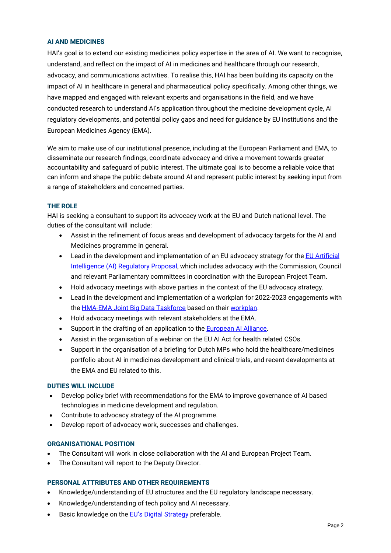## **AI AND MEDICINES**

HAI's goal is to extend our existing medicines policy expertise in the area of AI. We want to recognise, understand, and reflect on the impact of AI in medicines and healthcare through our research, advocacy, and communications activities. To realise this, HAI has been building its capacity on the impact of AI in healthcare in general and pharmaceutical policy specifically. Among other things, we have mapped and engaged with relevant experts and organisations in the field, and we have conducted research to understand AI's application throughout the medicine development cycle, AI regulatory developments, and potential policy gaps and need for guidance by EU institutions and the European Medicines Agency (EMA).

We aim to make use of our institutional presence, including at the European Parliament and EMA, to disseminate our research findings, coordinate advocacy and drive a movement towards greater accountability and safeguard of public interest. The ultimate goal is to become a reliable voice that can inform and shape the public debate around AI and represent public interest by seeking input from a range of stakeholders and concerned parties.

## **THE ROLE**

HAI is seeking a consultant to support its advocacy work at the EU and Dutch national level. The duties of the consultant will include:

- Assist in the refinement of focus areas and development of advocacy targets for the AI and Medicines programme in general.
- Lead in the development and implementation of an EU advocacy strategy for the EU Artificial [Intelligence \(AI\) Regulatory Proposal,](https://digital-strategy.ec.europa.eu/en/policies/european-approach-artificial-intelligence) which includes advocacy with the Commission, Council and relevant Parliamentary committees in coordination with the European Project Team.
- Hold advocacy meetings with above parties in the context of the EU advocacy strategy.
- Lead in the development and implementation of a workplan for 2022-2023 engagements with th[e HMA-EMA Joint Big Data Taskforce](https://www.ema.europa.eu/en/documents/minutes/hma/ema-joint-task-force-big-data-summary-report_en.pdf) based on their [workplan.](https://www.ema.europa.eu/en/documents/work-programme/workplan-2021-2023-hma/ema-joint-big-data-steering-group_en.pdf)
- Hold advocacy meetings with relevant stakeholders at the EMA.
- Support in the drafting of an application to the [European AI Alliance.](https://digital-strategy.ec.europa.eu/en/policies/european-ai-alliance)
- Assist in the organisation of a webinar on the EU AI Act for health related CSOs.
- Support in the organisation of a briefing for Dutch MPs who hold the healthcare/medicines portfolio about AI in medicines development and clinical trials, and recent developments at the EMA and EU related to this.

## **DUTIES WILL INCLUDE**

- Develop policy brief with recommendations for the EMA to improve governance of AI based technologies in medicine development and regulation.
- Contribute to advocacy strategy of the AI programme.
- Develop report of advocacy work, successes and challenges.

## **ORGANISATIONAL POSITION**

- The Consultant will work in close collaboration with the AI and European Project Team.
- The Consultant will report to the Deputy Director.

## **PERSONAL ATTRIBUTES AND OTHER REQUIREMENTS**

- Knowledge/understanding of EU structures and the EU regulatory landscape necessary.
- Knowledge/understanding of tech policy and AI necessary.
- Basic knowledge on the [EU's Digital Strategy](https://ec.europa.eu/info/strategy/priorities-2019-2024/europe-fit-digital-age_en) preferable.